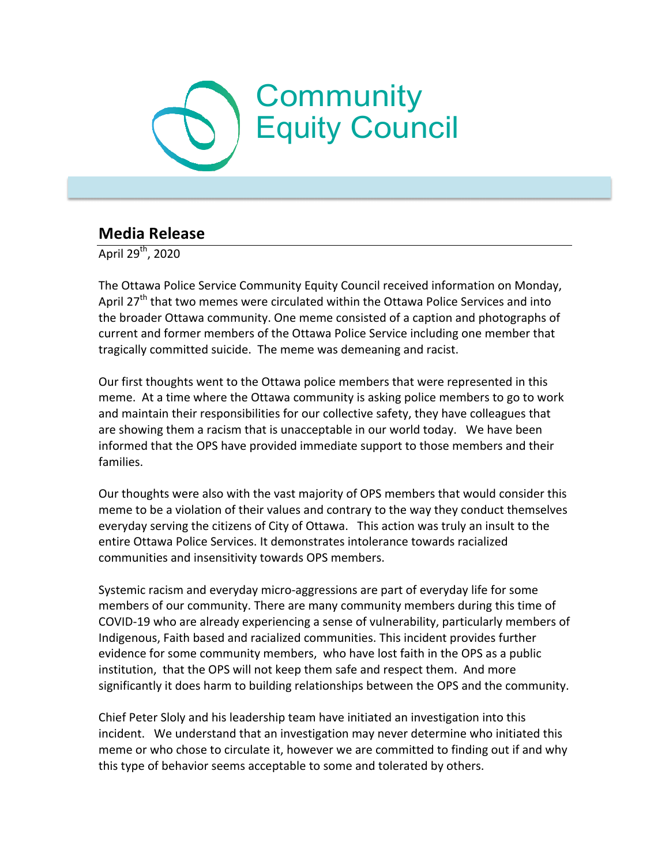## **Community** Equity Council

## **Media Release**

April  $29^{th}$ , 2020

The Ottawa Police Service Community Equity Council received information on Monday, April  $27<sup>th</sup>$  that two memes were circulated within the Ottawa Police Services and into the broader Ottawa community. One meme consisted of a caption and photographs of current and former members of the Ottawa Police Service including one member that tragically committed suicide. The meme was demeaning and racist.

Our first thoughts went to the Ottawa police members that were represented in this meme. At a time where the Ottawa community is asking police members to go to work and maintain their responsibilities for our collective safety, they have colleagues that are showing them a racism that is unacceptable in our world today. We have been informed that the OPS have provided immediate support to those members and their families.

Our thoughts were also with the vast majority of OPS members that would consider this meme to be a violation of their values and contrary to the way they conduct themselves everyday serving the citizens of City of Ottawa. This action was truly an insult to the entire Ottawa Police Services. It demonstrates intolerance towards racialized communities and insensitivity towards OPS members.

Systemic racism and everyday micro-aggressions are part of everyday life for some members of our community. There are many community members during this time of COVID-19 who are already experiencing a sense of vulnerability, particularly members of Indigenous, Faith based and racialized communities. This incident provides further evidence for some community members, who have lost faith in the OPS as a public institution, that the OPS will not keep them safe and respect them. And more significantly it does harm to building relationships between the OPS and the community.

Chief Peter Sloly and his leadership team have initiated an investigation into this incident. We understand that an investigation may never determine who initiated this meme or who chose to circulate it, however we are committed to finding out if and why this type of behavior seems acceptable to some and tolerated by others.